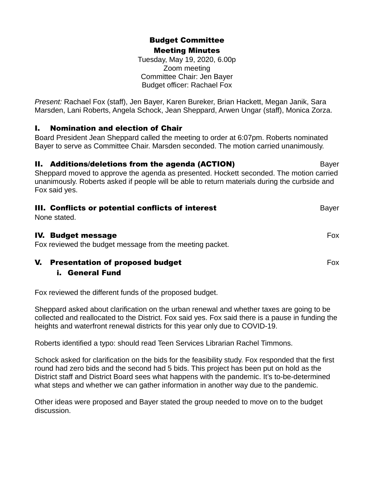# Budget Committee Meeting Minutes

Tuesday, May 19, 2020, 6.00p Zoom meeting Committee Chair: Jen Bayer Budget officer: Rachael Fox

*Present:* Rachael Fox (staff), Jen Bayer, Karen Bureker, Brian Hackett, Megan Janik, Sara Marsden, Lani Roberts, Angela Schock, Jean Sheppard, Arwen Ungar (staff), Monica Zorza.

## I. Nomination and election of Chair

Board President Jean Sheppard called the meeting to order at 6:07pm. Roberts nominated Bayer to serve as Committee Chair. Marsden seconded. The motion carried unanimously.

## **II. Additions/deletions from the agenda (ACTION)** Bayer

Sheppard moved to approve the agenda as presented. Hockett seconded. The motion carried unanimously. Roberts asked if people will be able to return materials during the curbside and Fox said yes.

| III. Conflicts or potential conflicts of interest<br>None stated.                     | <b>Bayer</b> |
|---------------------------------------------------------------------------------------|--------------|
| <b>IV. Budget message</b><br>Fox reviewed the budget message from the meeting packet. | Fox.         |
| V.<br><b>Presentation of proposed budget</b>                                          | <b>Fox</b>   |

## i. General Fund

Fox reviewed the different funds of the proposed budget.

Sheppard asked about clarification on the urban renewal and whether taxes are going to be collected and reallocated to the District. Fox said yes. Fox said there is a pause in funding the heights and waterfront renewal districts for this year only due to COVID-19.

Roberts identified a typo: should read Teen Services Librarian Rachel Timmons.

Schock asked for clarification on the bids for the feasibility study. Fox responded that the first round had zero bids and the second had 5 bids. This project has been put on hold as the District staff and District Board sees what happens with the pandemic. It's to-be-determined what steps and whether we can gather information in another way due to the pandemic.

Other ideas were proposed and Bayer stated the group needed to move on to the budget discussion.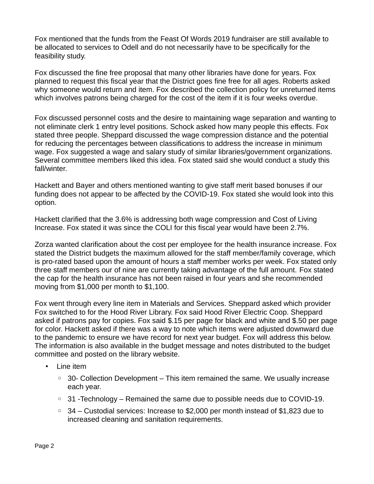Fox mentioned that the funds from the Feast Of Words 2019 fundraiser are still available to be allocated to services to Odell and do not necessarily have to be specifically for the feasibility study.

Fox discussed the fine free proposal that many other libraries have done for years. Fox planned to request this fiscal year that the District goes fine free for all ages. Roberts asked why someone would return and item. Fox described the collection policy for unreturned items which involves patrons being charged for the cost of the item if it is four weeks overdue.

Fox discussed personnel costs and the desire to maintaining wage separation and wanting to not eliminate clerk 1 entry level positions. Schock asked how many people this effects. Fox stated three people. Sheppard discussed the wage compression distance and the potential for reducing the percentages between classifications to address the increase in minimum wage. Fox suggested a wage and salary study of similar libraries/government organizations. Several committee members liked this idea. Fox stated said she would conduct a study this fall/winter.

Hackett and Bayer and others mentioned wanting to give staff merit based bonuses if our funding does not appear to be affected by the COVID-19. Fox stated she would look into this option.

Hackett clarified that the 3.6% is addressing both wage compression and Cost of Living Increase. Fox stated it was since the COLI for this fiscal year would have been 2.7%.

Zorza wanted clarification about the cost per employee for the health insurance increase. Fox stated the District budgets the maximum allowed for the staff member/family coverage, which is pro-rated based upon the amount of hours a staff member works per week. Fox stated only three staff members our of nine are currently taking advantage of the full amount. Fox stated the cap for the health insurance has not been raised in four years and she recommended moving from \$1,000 per month to \$1,100.

Fox went through every line item in Materials and Services. Sheppard asked which provider Fox switched to for the Hood River Library. Fox said Hood River Electric Coop. Sheppard asked if patrons pay for copies. Fox said \$.15 per page for black and white and \$.50 per page for color. Hackett asked if there was a way to note which items were adjusted downward due to the pandemic to ensure we have record for next year budget. Fox will address this below. The information is also available in the budget message and notes distributed to the budget committee and posted on the library website.

- Line item
	- $\degree$  30- Collection Development This item remained the same. We usually increase each year.
	- 31 -Technology Remained the same due to possible needs due to COVID-19.
	- 34 Custodial services: Increase to \$2,000 per month instead of \$1,823 due to increased cleaning and sanitation requirements.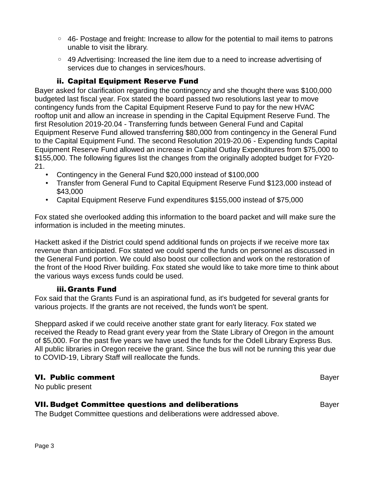- 46- Postage and freight: Increase to allow for the potential to mail items to patrons unable to visit the library.
- 49 Advertising: Increased the line item due to a need to increase advertising of services due to changes in services/hours.

### ii. Capital Equipment Reserve Fund

Bayer asked for clarification regarding the contingency and she thought there was \$100,000 budgeted last fiscal year. Fox stated the board passed two resolutions last year to move contingency funds from the Capital Equipment Reserve Fund to pay for the new HVAC rooftop unit and allow an increase in spending in the Capital Equipment Reserve Fund. The first Resolution 2019-20.04 - Transferring funds between General Fund and Capital Equipment Reserve Fund allowed transferring \$80,000 from contingency in the General Fund to the Capital Equipment Fund. The second Resolution 2019-20.06 - Expending funds Capital Equipment Reserve Fund allowed an increase in Capital Outlay Expenditures from \$75,000 to \$155,000. The following figures list the changes from the originally adopted budget for FY20- 21.

- Contingency in the General Fund \$20,000 instead of \$100,000
- Transfer from General Fund to Capital Equipment Reserve Fund \$123,000 instead of \$43,000
- Capital Equipment Reserve Fund expenditures \$155,000 instead of \$75,000

Fox stated she overlooked adding this information to the board packet and will make sure the information is included in the meeting minutes.

Hackett asked if the District could spend additional funds on projects if we receive more tax revenue than anticipated. Fox stated we could spend the funds on personnel as discussed in the General Fund portion. We could also boost our collection and work on the restoration of the front of the Hood River building. Fox stated she would like to take more time to think about the various ways excess funds could be used.

#### iii. Grants Fund

Fox said that the Grants Fund is an aspirational fund, as it's budgeted for several grants for various projects. If the grants are not received, the funds won't be spent.

Sheppard asked if we could receive another state grant for early literacy. Fox stated we received the Ready to Read grant every year from the State Library of Oregon in the amount of \$5,000. For the past five years we have used the funds for the Odell Library Express Bus. All public libraries in Oregon receive the grant. Since the bus will not be running this year due to COVID-19, Library Staff will reallocate the funds.

#### VI. Public comment Bayer

No public present

#### **VII. Budget Committee questions and deliberations Example 20 Bayer Rayer** Bayer

The Budget Committee questions and deliberations were addressed above.